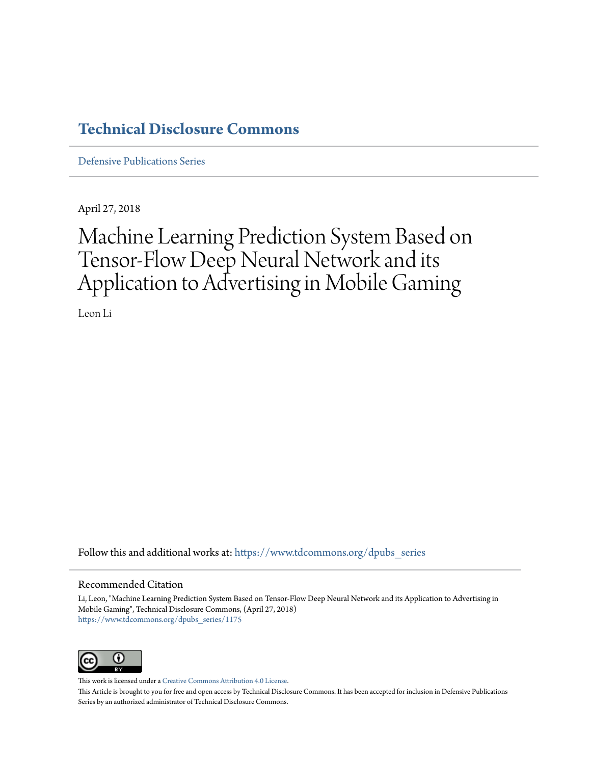## **[Technical Disclosure Commons](https://www.tdcommons.org?utm_source=www.tdcommons.org%2Fdpubs_series%2F1175&utm_medium=PDF&utm_campaign=PDFCoverPages)**

[Defensive Publications Series](https://www.tdcommons.org/dpubs_series?utm_source=www.tdcommons.org%2Fdpubs_series%2F1175&utm_medium=PDF&utm_campaign=PDFCoverPages)

April 27, 2018

# Machine Learning Prediction System Based on Tensor-Flow Deep Neural Network and its Application to Advertising in Mobile Gaming

Leon Li

Follow this and additional works at: [https://www.tdcommons.org/dpubs\\_series](https://www.tdcommons.org/dpubs_series?utm_source=www.tdcommons.org%2Fdpubs_series%2F1175&utm_medium=PDF&utm_campaign=PDFCoverPages)

#### Recommended Citation

Li, Leon, "Machine Learning Prediction System Based on Tensor-Flow Deep Neural Network and its Application to Advertising in Mobile Gaming", Technical Disclosure Commons, (April 27, 2018) [https://www.tdcommons.org/dpubs\\_series/1175](https://www.tdcommons.org/dpubs_series/1175?utm_source=www.tdcommons.org%2Fdpubs_series%2F1175&utm_medium=PDF&utm_campaign=PDFCoverPages)



This work is licensed under a [Creative Commons Attribution 4.0 License.](http://creativecommons.org/licenses/by/4.0/deed.en_US)

This Article is brought to you for free and open access by Technical Disclosure Commons. It has been accepted for inclusion in Defensive Publications Series by an authorized administrator of Technical Disclosure Commons.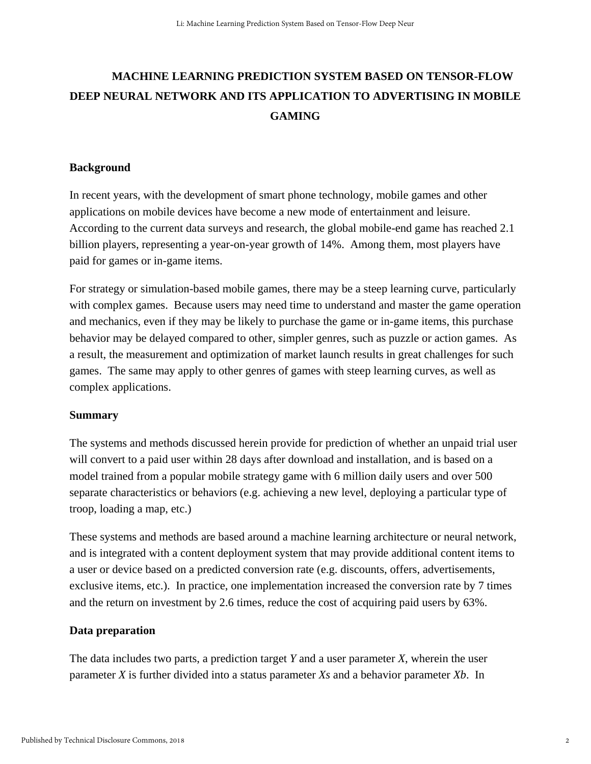# **MACHINE LEARNING PREDICTION SYSTEM BASED ON TENSOR-FLOW DEEP NEURAL NETWORK AND ITS APPLICATION TO ADVERTISING IN MOBILE GAMING**

#### **Background**

In recent years, with the development of smart phone technology, mobile games and other applications on mobile devices have become a new mode of entertainment and leisure. According to the current data surveys and research, the global mobile-end game has reached 2.1 billion players, representing a year-on-year growth of 14%. Among them, most players have paid for games or in-game items.

For strategy or simulation-based mobile games, there may be a steep learning curve, particularly with complex games. Because users may need time to understand and master the game operation and mechanics, even if they may be likely to purchase the game or in-game items, this purchase behavior may be delayed compared to other, simpler genres, such as puzzle or action games. As a result, the measurement and optimization of market launch results in great challenges for such games. The same may apply to other genres of games with steep learning curves, as well as complex applications.

#### **Summary**

The systems and methods discussed herein provide for prediction of whether an unpaid trial user will convert to a paid user within 28 days after download and installation, and is based on a model trained from a popular mobile strategy game with 6 million daily users and over 500 separate characteristics or behaviors (e.g. achieving a new level, deploying a particular type of troop, loading a map, etc.)

These systems and methods are based around a machine learning architecture or neural network, and is integrated with a content deployment system that may provide additional content items to a user or device based on a predicted conversion rate (e.g. discounts, offers, advertisements, exclusive items, etc.). In practice, one implementation increased the conversion rate by 7 times and the return on investment by 2.6 times, reduce the cost of acquiring paid users by 63%.

#### **Data preparation**

The data includes two parts, a prediction target *Y* and a user parameter *X*, wherein the user parameter *X* is further divided into a status parameter *Xs* and a behavior parameter *Xb*. In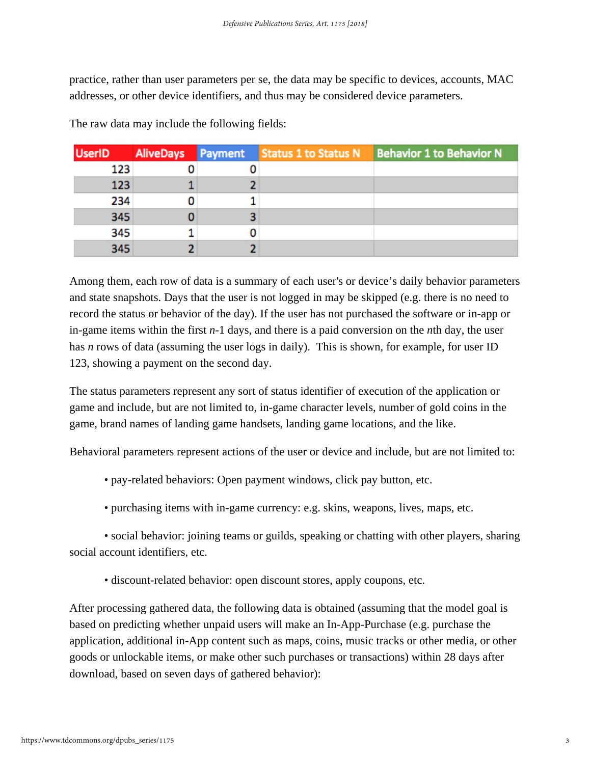practice, rather than user parameters per se, the data may be specific to devices, accounts, MAC addresses, or other device identifiers, and thus may be considered device parameters.

| <b>UserID</b> | <b>AliveDays</b> Payment |   | <b>Status 1 to Status N</b> | <b>Behavior 1 to Behavior N</b> |
|---------------|--------------------------|---|-----------------------------|---------------------------------|
| 123           |                          | U |                             |                                 |
| 123           |                          |   |                             |                                 |
| 234           |                          |   |                             |                                 |
| 345           |                          |   |                             |                                 |
| 345           |                          | U |                             |                                 |
| 345           |                          |   |                             |                                 |

The raw data may include the following fields:

Among them, each row of data is a summary of each user's or device's daily behavior parameters and state snapshots. Days that the user is not logged in may be skipped (e.g. there is no need to record the status or behavior of the day). If the user has not purchased the software or in-app or in-game items within the first *n*-1 days, and there is a paid conversion on the *n*th day, the user has *n* rows of data (assuming the user logs in daily). This is shown, for example, for user ID 123, showing a payment on the second day.

The status parameters represent any sort of status identifier of execution of the application or game and include, but are not limited to, in-game character levels, number of gold coins in the game, brand names of landing game handsets, landing game locations, and the like.

Behavioral parameters represent actions of the user or device and include, but are not limited to:

- pay-related behaviors: Open payment windows, click pay button, etc.
- purchasing items with in-game currency: e.g. skins, weapons, lives, maps, etc.

• social behavior: joining teams or guilds, speaking or chatting with other players, sharing social account identifiers, etc.

• discount-related behavior: open discount stores, apply coupons, etc.

After processing gathered data, the following data is obtained (assuming that the model goal is based on predicting whether unpaid users will make an In-App-Purchase (e.g. purchase the application, additional in-App content such as maps, coins, music tracks or other media, or other goods or unlockable items, or make other such purchases or transactions) within 28 days after download, based on seven days of gathered behavior):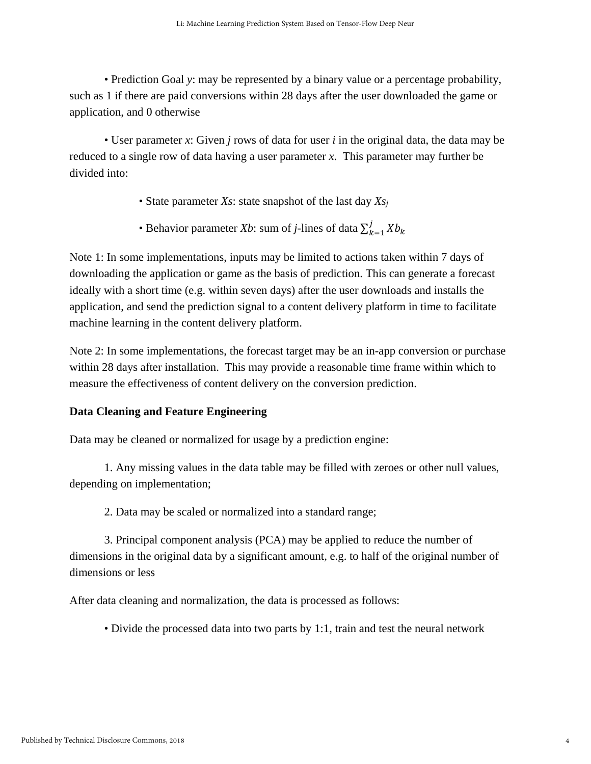• Prediction Goal *y*: may be represented by a binary value or a percentage probability, such as 1 if there are paid conversions within 28 days after the user downloaded the game or application, and 0 otherwise

• User parameter *x*: Given *j* rows of data for user *i* in the original data, the data may be reduced to a single row of data having a user parameter *x*. This parameter may further be divided into:

- State parameter *Xs*: state snapshot of the last day *Xsj*
- Behavior parameter *Xb*: sum of *j*-lines of data  $\sum_{k=1}^{j} Xb_k$  $k=1$

Note 1: In some implementations, inputs may be limited to actions taken within 7 days of downloading the application or game as the basis of prediction. This can generate a forecast ideally with a short time (e.g. within seven days) after the user downloads and installs the application, and send the prediction signal to a content delivery platform in time to facilitate machine learning in the content delivery platform.

Note 2: In some implementations, the forecast target may be an in-app conversion or purchase within 28 days after installation. This may provide a reasonable time frame within which to measure the effectiveness of content delivery on the conversion prediction.

#### **Data Cleaning and Feature Engineering**

Data may be cleaned or normalized for usage by a prediction engine:

 1. Any missing values in the data table may be filled with zeroes or other null values, depending on implementation;

2. Data may be scaled or normalized into a standard range;

 3. Principal component analysis (PCA) may be applied to reduce the number of dimensions in the original data by a significant amount, e.g. to half of the original number of dimensions or less

After data cleaning and normalization, the data is processed as follows:

• Divide the processed data into two parts by 1:1, train and test the neural network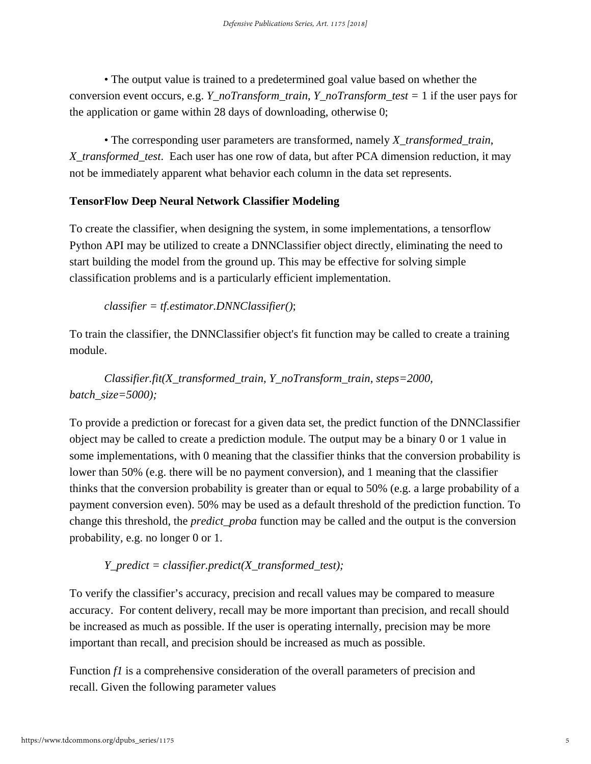• The output value is trained to a predetermined goal value based on whether the conversion event occurs, e.g. *Y\_noTransform\_train*, *Y\_noTransform\_test =* 1 if the user pays for the application or game within 28 days of downloading, otherwise 0;

• The corresponding user parameters are transformed, namely *X\_transformed\_train*, *X\_transformed\_test*. Each user has one row of data, but after PCA dimension reduction, it may not be immediately apparent what behavior each column in the data set represents.

## **TensorFlow Deep Neural Network Classifier Modeling**

To create the classifier, when designing the system, in some implementations, a tensorflow Python API may be utilized to create a DNNClassifier object directly, eliminating the need to start building the model from the ground up. This may be effective for solving simple classification problems and is a particularly efficient implementation.

#### *classifier = tf.estimator.DNNClassifier()*;

To train the classifier, the DNNClassifier object's fit function may be called to create a training module.

*Classifier.fit(X\_transformed\_train, Y\_noTransform\_train, steps=2000, batch\_size=5000);* 

To provide a prediction or forecast for a given data set, the predict function of the DNNClassifier object may be called to create a prediction module. The output may be a binary 0 or 1 value in some implementations, with 0 meaning that the classifier thinks that the conversion probability is lower than 50% (e.g. there will be no payment conversion), and 1 meaning that the classifier thinks that the conversion probability is greater than or equal to 50% (e.g. a large probability of a payment conversion even). 50% may be used as a default threshold of the prediction function. To change this threshold, the *predict\_proba* function may be called and the output is the conversion probability, e.g. no longer 0 or 1.

#### *Y\_predict = classifier.predict(X\_transformed\_test);*

To verify the classifier's accuracy, precision and recall values may be compared to measure accuracy. For content delivery, recall may be more important than precision, and recall should be increased as much as possible. If the user is operating internally, precision may be more important than recall, and precision should be increased as much as possible.

Function *f1* is a comprehensive consideration of the overall parameters of precision and recall. Given the following parameter values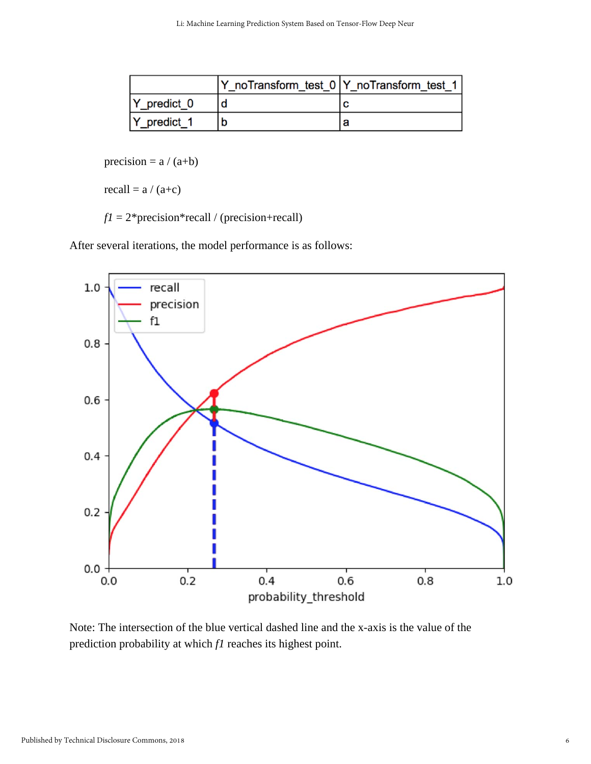|                 | Y noTransform test 0   Y noTransform test 1 |
|-----------------|---------------------------------------------|
| $ Y $ predict 0 |                                             |
| Y predict 1     |                                             |

precision =  $a / (a+b)$ 

recall =  $a / (a+c)$ 

 $f1 = 2$ \*precision\*recall / (precision+recall)

After several iterations, the model performance is as follows:



Note: The intersection of the blue vertical dashed line and the x-axis is the value of the prediction probability at which *f1* reaches its highest point.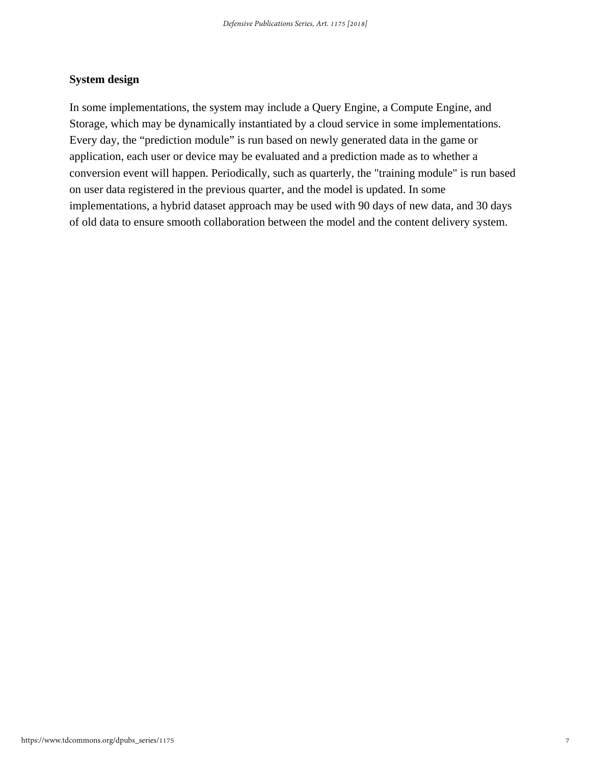### **System design**

In some implementations, the system may include a Query Engine, a Compute Engine, and Storage, which may be dynamically instantiated by a cloud service in some implementations. Every day, the "prediction module" is run based on newly generated data in the game or application, each user or device may be evaluated and a prediction made as to whether a conversion event will happen. Periodically, such as quarterly, the "training module" is run based on user data registered in the previous quarter, and the model is updated. In some implementations, a hybrid dataset approach may be used with 90 days of new data, and 30 days of old data to ensure smooth collaboration between the model and the content delivery system.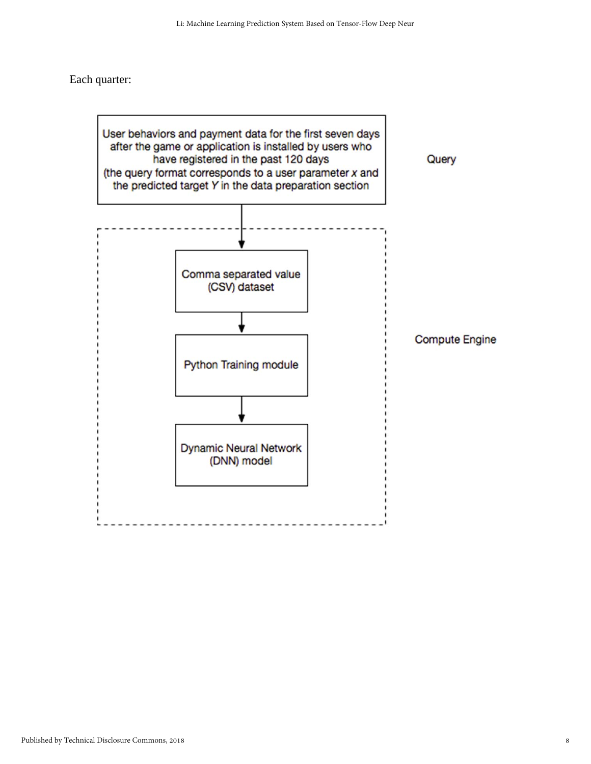Each quarter:

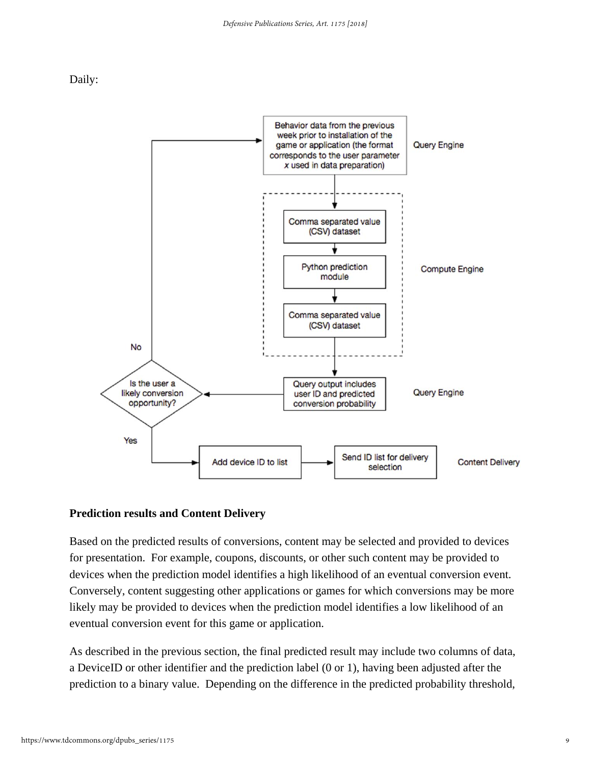



#### **Prediction results and Content Delivery**

Based on the predicted results of conversions, content may be selected and provided to devices for presentation. For example, coupons, discounts, or other such content may be provided to devices when the prediction model identifies a high likelihood of an eventual conversion event. Conversely, content suggesting other applications or games for which conversions may be more likely may be provided to devices when the prediction model identifies a low likelihood of an eventual conversion event for this game or application.

As described in the previous section, the final predicted result may include two columns of data, a DeviceID or other identifier and the prediction label (0 or 1), having been adjusted after the prediction to a binary value. Depending on the difference in the predicted probability threshold,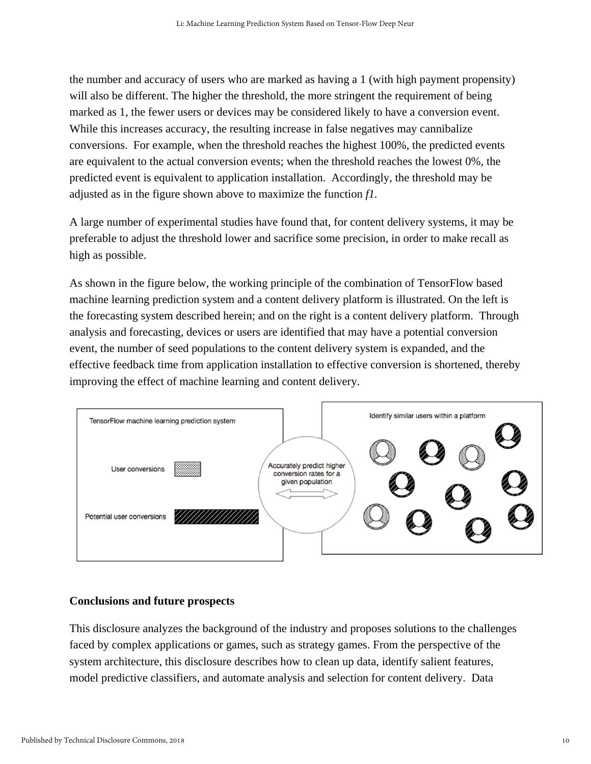the number and accuracy of users who are marked as having a 1 (with high payment propensity) will also be different. The higher the threshold, the more stringent the requirement of being marked as 1, the fewer users or devices may be considered likely to have a conversion event. While this increases accuracy, the resulting increase in false negatives may cannibalize conversions. For example, when the threshold reaches the highest 100%, the predicted events are equivalent to the actual conversion events; when the threshold reaches the lowest 0%, the predicted event is equivalent to application installation. Accordingly, the threshold may be adjusted as in the figure shown above to maximize the function *f1.* 

A large number of experimental studies have found that, for content delivery systems, it may be preferable to adjust the threshold lower and sacrifice some precision, in order to make recall as high as possible.

As shown in the figure below, the working principle of the combination of TensorFlow based machine learning prediction system and a content delivery platform is illustrated. On the left is the forecasting system described herein; and on the right is a content delivery platform. Through analysis and forecasting, devices or users are identified that may have a potential conversion event, the number of seed populations to the content delivery system is expanded, and the effective feedback time from application installation to effective conversion is shortened, thereby improving the effect of machine learning and content delivery.



#### **Conclusions and future prospects**

This disclosure analyzes the background of the industry and proposes solutions to the challenges faced by complex applications or games, such as strategy games. From the perspective of the system architecture, this disclosure describes how to clean up data, identify salient features, model predictive classifiers, and automate analysis and selection for content delivery. Data